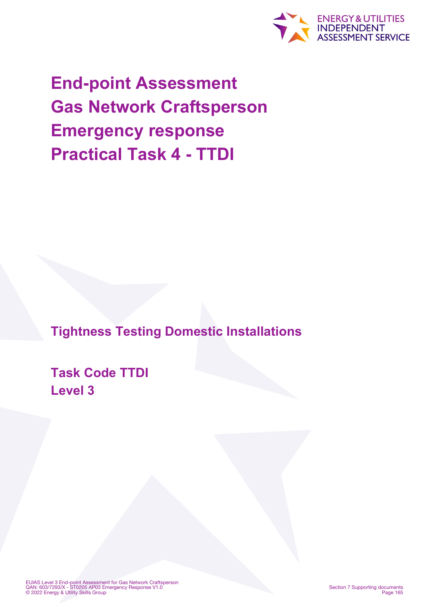

**End-point Assessment Gas Network Craftsperson Emergency response Practical Task 4 - TTDI**

**Tightness Testing Domestic Installations**

**Task Code TTDI Level 3**

EUIAS Level 3 End-point Assessment for Gas Network Craftsperson QAN: 603/7293/X - ST0205 AP03 Emergency Response V1.0 © 2022 Energy & Utility Skills Group

Section 7 Supporting documents Page 165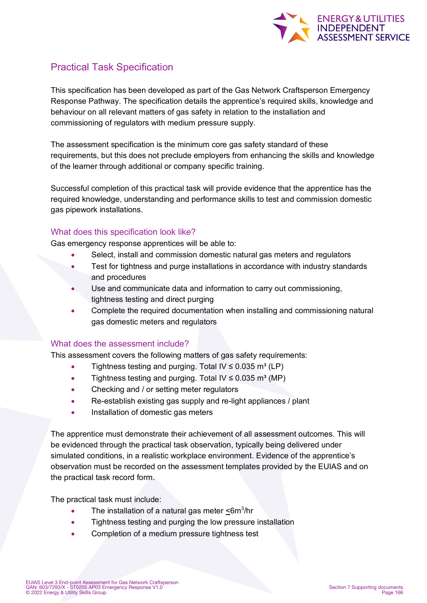

# Practical Task Specification

This specification has been developed as part of the Gas Network Craftsperson Emergency Response Pathway. The specification details the apprentice's required skills, knowledge and behaviour on all relevant matters of gas safety in relation to the installation and commissioning of regulators with medium pressure supply.

The assessment specification is the minimum core gas safety standard of these requirements, but this does not preclude employers from enhancing the skills and knowledge of the learner through additional or company specific training.

Successful completion of this practical task will provide evidence that the apprentice has the required knowledge, understanding and performance skills to test and commission domestic gas pipework installations.

### What does this specification look like?

Gas emergency response apprentices will be able to:

- Select, install and commission domestic natural gas meters and regulators
- Test for tightness and purge installations in accordance with industry standards and procedures
- Use and communicate data and information to carry out commissioning, tightness testing and direct purging
- Complete the required documentation when installing and commissioning natural gas domestic meters and regulators

### What does the assessment include?

This assessment covers the following matters of gas safety requirements:

- Tightness testing and purging. Total IV  $\leq 0.035$  m<sup>3</sup> (LP)
- Tightness testing and purging. Total IV  $\leq 0.035$  m<sup>3</sup> (MP)
- Checking and / or setting meter regulators
- Re-establish existing gas supply and re-light appliances / plant
- Installation of domestic gas meters

The apprentice must demonstrate their achievement of all assessment outcomes. This will be evidenced through the practical task observation, typically being delivered under simulated conditions, in a realistic workplace environment. Evidence of the apprentice's observation must be recorded on the assessment templates provided by the EUIAS and on the practical task record form.

The practical task must include:

- The installation of a natural gas meter  $\leq 6m^3/hr$
- Tightness testing and purging the low pressure installation
- Completion of a medium pressure tightness test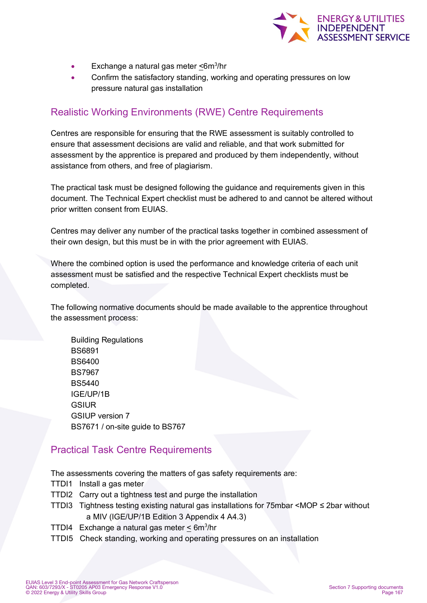

- Exchange a natural gas meter <6m<sup>3</sup>/hr
- Confirm the satisfactory standing, working and operating pressures on low pressure natural gas installation

## Realistic Working Environments (RWE) Centre Requirements

Centres are responsible for ensuring that the RWE assessment is suitably controlled to ensure that assessment decisions are valid and reliable, and that work submitted for assessment by the apprentice is prepared and produced by them independently, without assistance from others, and free of plagiarism.

The practical task must be designed following the guidance and requirements given in this document. The Technical Expert checklist must be adhered to and cannot be altered without prior written consent from EUIAS.

Centres may deliver any number of the practical tasks together in combined assessment of their own design, but this must be in with the prior agreement with EUIAS.

Where the combined option is used the performance and knowledge criteria of each unit assessment must be satisfied and the respective Technical Expert checklists must be completed.

The following normative documents should be made available to the apprentice throughout the assessment process:

Building Regulations BS6891 BS6400 BS7967 BS5440 IGE/UP/1B **GSIUR** GSIUP version 7 BS7671 / on-site guide to BS767

### Practical Task Centre Requirements

The assessments covering the matters of gas safety requirements are:

- TTDI1 Install a gas meter
- TTDI2 Carry out a tightness test and purge the installation
- TTDI3 Tightness testing existing natural gas installations for 75mbar <MOP ≤ 2bar without a MIV (IGE/UP/1B Edition 3 Appendix 4 A4.3)
- TTDI4 Exchange a natural gas meter <u><</u> 6m<sup>3</sup>/hr
- TTDI5 Check standing, working and operating pressures on an installation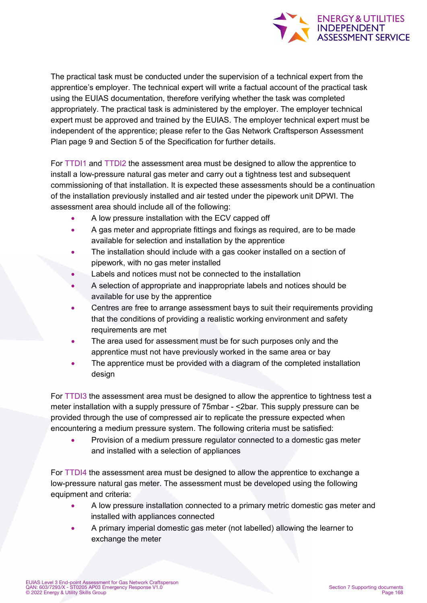

The practical task must be conducted under the supervision of a technical expert from the apprentice's employer. The technical expert will write a factual account of the practical task using the EUIAS documentation, therefore verifying whether the task was completed appropriately. The practical task is administered by the employer. The employer technical expert must be approved and trained by the EUIAS. The employer technical expert must be independent of the apprentice; please refer to the Gas Network Craftsperson Assessment Plan page 9 and Section 5 of the Specification for further details.

For TTDI1 and TTDI2 the assessment area must be designed to allow the apprentice to install a low-pressure natural gas meter and carry out a tightness test and subsequent commissioning of that installation. It is expected these assessments should be a continuation of the installation previously installed and air tested under the pipework unit DPWI. The assessment area should include all of the following:

- A low pressure installation with the ECV capped off
- A gas meter and appropriate fittings and fixings as required, are to be made available for selection and installation by the apprentice
- The installation should include with a gas cooker installed on a section of pipework, with no gas meter installed
- Labels and notices must not be connected to the installation
- A selection of appropriate and inappropriate labels and notices should be available for use by the apprentice
- Centres are free to arrange assessment bays to suit their requirements providing that the conditions of providing a realistic working environment and safety requirements are met
- The area used for assessment must be for such purposes only and the apprentice must not have previously worked in the same area or bay
- The apprentice must be provided with a diagram of the completed installation design

For TTDI3 the assessment area must be designed to allow the apprentice to tightness test a meter installation with a supply pressure of 75mbar - <2bar. This supply pressure can be provided through the use of compressed air to replicate the pressure expected when encountering a medium pressure system. The following criteria must be satisfied:

• Provision of a medium pressure regulator connected to a domestic gas meter and installed with a selection of appliances

For TTDI4 the assessment area must be designed to allow the apprentice to exchange a low-pressure natural gas meter. The assessment must be developed using the following equipment and criteria:

- A low pressure installation connected to a primary metric domestic gas meter and installed with appliances connected
- A primary imperial domestic gas meter (not labelled) allowing the learner to exchange the meter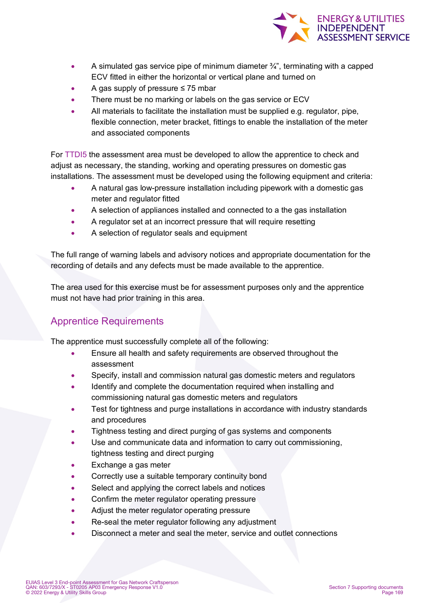

- A simulated gas service pipe of minimum diameter  $\frac{3}{4}$ , terminating with a capped ECV fitted in either the horizontal or vertical plane and turned on
- A gas supply of pressure  $\leq$  75 mbar
- There must be no marking or labels on the gas service or ECV
- All materials to facilitate the installation must be supplied e.g. regulator, pipe, flexible connection, meter bracket, fittings to enable the installation of the meter and associated components

For TTDI5 the assessment area must be developed to allow the apprentice to check and adjust as necessary, the standing, working and operating pressures on domestic gas installations. The assessment must be developed using the following equipment and criteria:

- A natural gas low-pressure installation including pipework with a domestic gas meter and regulator fitted
- A selection of appliances installed and connected to a the gas installation
- A regulator set at an incorrect pressure that will require resetting
- A selection of regulator seals and equipment

The full range of warning labels and advisory notices and appropriate documentation for the recording of details and any defects must be made available to the apprentice.

The area used for this exercise must be for assessment purposes only and the apprentice must not have had prior training in this area.

# Apprentice Requirements

The apprentice must successfully complete all of the following:

- Ensure all health and safety requirements are observed throughout the assessment
- Specify, install and commission natural gas domestic meters and regulators
- Identify and complete the documentation required when installing and commissioning natural gas domestic meters and regulators
- Test for tightness and purge installations in accordance with industry standards and procedures
- Tightness testing and direct purging of gas systems and components
- Use and communicate data and information to carry out commissioning, tightness testing and direct purging
- Exchange a gas meter
- Correctly use a suitable temporary continuity bond
- Select and applying the correct labels and notices
- Confirm the meter regulator operating pressure
- Adjust the meter regulator operating pressure
- Re-seal the meter regulator following any adjustment
- Disconnect a meter and seal the meter, service and outlet connections